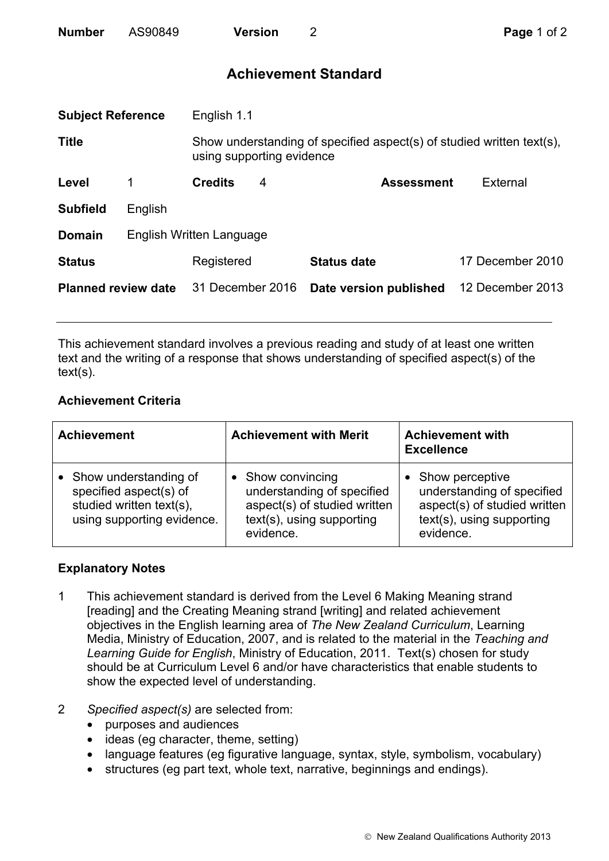| <b>Number</b> | AS90849 | <b>Version</b> |
|---------------|---------|----------------|
|               |         |                |

## **Achievement Standard**

| <b>Subject Reference</b>   |                          | English 1.1                                                                                        |   |                        |                  |
|----------------------------|--------------------------|----------------------------------------------------------------------------------------------------|---|------------------------|------------------|
| <b>Title</b>               |                          | Show understanding of specified aspect(s) of studied written text(s),<br>using supporting evidence |   |                        |                  |
| Level                      | 1                        | <b>Credits</b>                                                                                     | 4 | <b>Assessment</b>      | External         |
| <b>Subfield</b>            | English                  |                                                                                                    |   |                        |                  |
| <b>Domain</b>              | English Written Language |                                                                                                    |   |                        |                  |
| <b>Status</b>              |                          | Registered                                                                                         |   | <b>Status date</b>     | 17 December 2010 |
| <b>Planned review date</b> |                          | 31 December 2016                                                                                   |   | Date version published | 12 December 2013 |
|                            |                          |                                                                                                    |   |                        |                  |

This achievement standard involves a previous reading and study of at least one written text and the writing of a response that shows understanding of specified aspect(s) of the text(s).

## **Achievement Criteria**

| <b>Achievement</b>                                                                                        | <b>Achievement with Merit</b>                                                                                             | <b>Achievement with</b><br><b>Excellence</b>                                                                            |
|-----------------------------------------------------------------------------------------------------------|---------------------------------------------------------------------------------------------------------------------------|-------------------------------------------------------------------------------------------------------------------------|
| Show understanding of<br>specified aspect(s) of<br>studied written text(s),<br>using supporting evidence. | • Show convincing<br>understanding of specified<br>aspect(s) of studied written<br>text(s), using supporting<br>evidence. | Show perceptive<br>understanding of specified<br>aspect(s) of studied written<br>text(s), using supporting<br>evidence. |

## **Explanatory Notes**

- 1 This achievement standard is derived from the Level 6 Making Meaning strand [reading] and the Creating Meaning strand [writing] and related achievement objectives in the English learning area of *The New Zealand Curriculum*, Learning Media, Ministry of Education, 2007, and is related to the material in the *Teaching and Learning Guide for English*, Ministry of Education, 2011. Text(s) chosen for study should be at Curriculum Level 6 and/or have characteristics that enable students to show the expected level of understanding.
- 2 *Specified aspect(s)* are selected from:
	- purposes and audiences
	- ideas (eg character, theme, setting)
	- language features (eg figurative language, syntax, style, symbolism, vocabulary)
	- structures (eg part text, whole text, narrative, beginnings and endings).